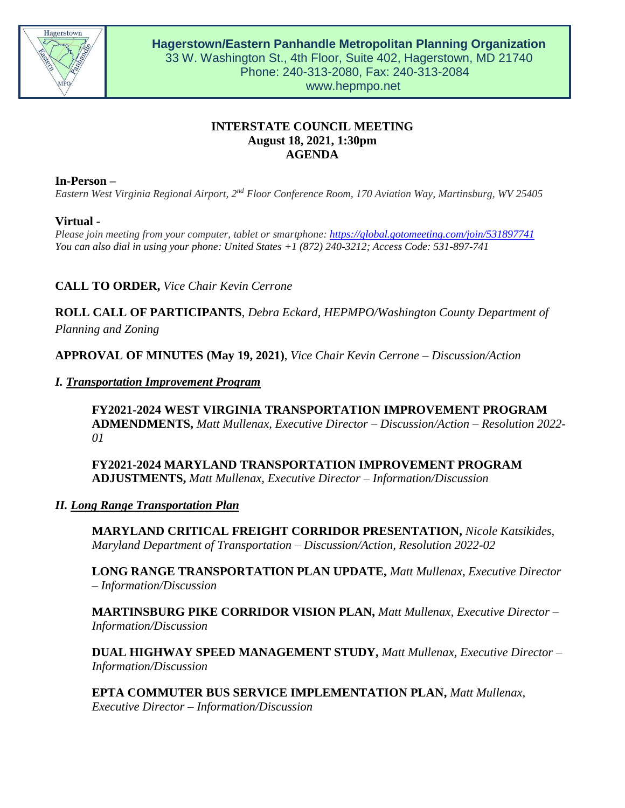

# **INTERSTATE COUNCIL MEETING August 18, 2021, 1:30pm AGENDA**

**In-Person –**

*Eastern West Virginia Regional Airport, 2nd Floor Conference Room, 170 Aviation Way, Martinsburg, WV 25405*

### **Virtual -**

*Please join meeting from your computer, tablet or smartphone: <https://global.gotomeeting.com/join/531897741> You can also dial in using your phone: United State[s +1 \(872\) 240-3212;](tel:+18722403212,,531897741) Access Code: 531-897-741* 

**CALL TO ORDER,** *Vice Chair Kevin Cerrone*

**ROLL CALL OF PARTICIPANTS**, *Debra Eckard, HEPMPO/Washington County Department of Planning and Zoning*

**APPROVAL OF MINUTES (May 19, 2021)**, *Vice Chair Kevin Cerrone – Discussion/Action*

*I. Transportation Improvement Program*

**FY2021-2024 WEST VIRGINIA TRANSPORTATION IMPROVEMENT PROGRAM ADMENDMENTS,** *Matt Mullenax, Executive Director – Discussion/Action – Resolution 2022- 01*

**FY2021-2024 MARYLAND TRANSPORTATION IMPROVEMENT PROGRAM ADJUSTMENTS,** *Matt Mullenax, Executive Director – Information/Discussion*

### *II. Long Range Transportation Plan*

**MARYLAND CRITICAL FREIGHT CORRIDOR PRESENTATION,** *Nicole Katsikides, Maryland Department of Transportation – Discussion/Action, Resolution 2022-02*

**LONG RANGE TRANSPORTATION PLAN UPDATE,** *Matt Mullenax, Executive Director – Information/Discussion*

**MARTINSBURG PIKE CORRIDOR VISION PLAN,** *Matt Mullenax, Executive Director – Information/Discussion*

**DUAL HIGHWAY SPEED MANAGEMENT STUDY,** *Matt Mullenax, Executive Director – Information/Discussion*

**EPTA COMMUTER BUS SERVICE IMPLEMENTATION PLAN,** *Matt Mullenax, Executive Director – Information/Discussion*